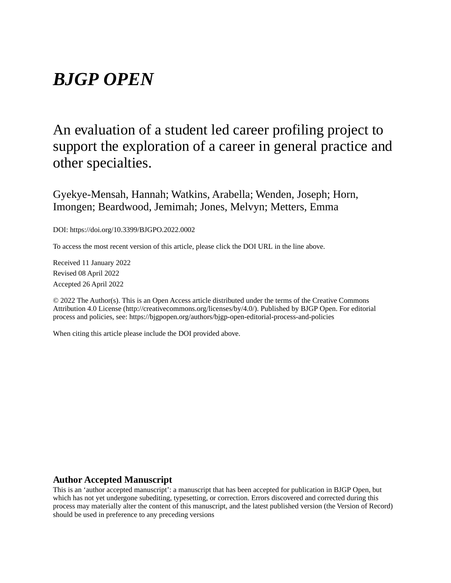# *BJGP OPEN*

## An evaluation of a student led career profiling project to support the exploration of a career in general practice and other specialties.

Gyekye-Mensah, Hannah; Watkins, Arabella; Wenden, Joseph; Horn, Imongen; Beardwood, Jemimah; Jones, Melvyn; Metters, Emma

DOI: https://doi.org/10.3399/BJGPO.2022.0002

To access the most recent version of this article, please click the DOI URL in the line above.

Received 11 January 2022 Revised 08 April 2022 Accepted 26 April 2022

© 2022 The Author(s). This is an Open Access article distributed under the terms of the Creative Commons Attribution 4.0 License (http://creativecommons.org/licenses/by/4.0/). Published by BJGP Open. For editorial process and policies, see: https://bjgpopen.org/authors/bjgp-open-editorial-process-and-policies

When citing this article please include the DOI provided above.

## **Author Accepted Manuscript**

This is an 'author accepted manuscript': a manuscript that has been accepted for publication in BJGP Open, but which has not yet undergone subediting, typesetting, or correction. Errors discovered and corrected during this process may materially alter the content of this manuscript, and the latest published version (the Version of Record) should be used in preference to any preceding versions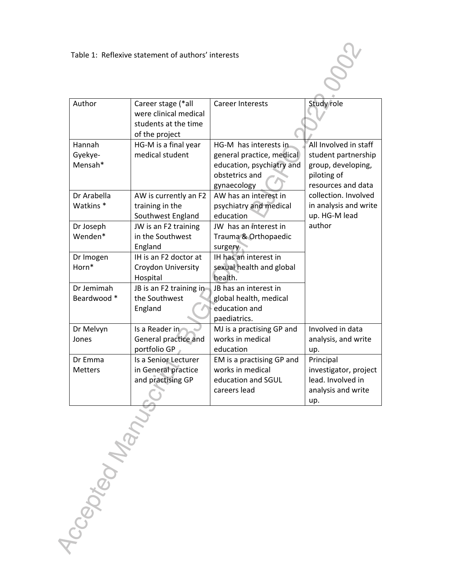| Author               | Career stage (*all<br>were clinical medical<br>students at the time<br>of the project | <b>Career Interests</b>   | Study role            |
|----------------------|---------------------------------------------------------------------------------------|---------------------------|-----------------------|
| Hannah               | HG-M is a final year                                                                  | HG-M has interests in     | All Involved in staff |
| Gyekye-              | medical student                                                                       | general practice, medical | student partnership   |
| Mensah*              |                                                                                       | education, psychiatry and | group, developing,    |
|                      |                                                                                       | obstetrics and            | piloting of           |
|                      |                                                                                       | gynaecology               | resources and data    |
| Dr Arabella          | AW is currently an F2                                                                 | AW has an interest in     | collection. Involved  |
| Watkins <sup>*</sup> | training in the                                                                       | psychiatry and medical    | in analysis and write |
|                      | Southwest England                                                                     | education                 | up. HG-M lead         |
| Dr Joseph            | JW is an F2 training                                                                  | JW has an interest in     | author                |
| Wenden*              | in the Southwest                                                                      | Trauma & Orthopaedic      |                       |
|                      | England                                                                               | surgery                   |                       |
| Dr Imogen            | IH is an F2 doctor at                                                                 | IH has an interest in     |                       |
| Horn*                | Croydon University                                                                    | sexual health and global  |                       |
|                      | Hospital                                                                              | health.                   |                       |
| Dr Jemimah           | JB is an F2 training in                                                               | JB has an interest in     |                       |
| Beardwood *          | the Southwest                                                                         | global health, medical    |                       |
|                      | England                                                                               | education and             |                       |
|                      |                                                                                       | paediatrics.              |                       |
| Dr Melvyn            | Is a Reader in                                                                        | MJ is a practising GP and | Involved in data      |
| Jones                | General practice and                                                                  | works in medical          | analysis, and write   |
|                      | portfolio GP                                                                          | education                 | up.                   |
| Dr Emma              | Is a Senior Lecturer                                                                  | EM is a practising GP and | Principal             |
| <b>Metters</b>       | in General practice                                                                   | works in medical          | investigator, project |
|                      | and practising GP                                                                     | education and SGUL        | lead. Involved in     |
|                      |                                                                                       | careers lead              | analysis and write    |
|                      |                                                                                       |                           | up.                   |

OOCL

Accepted Manus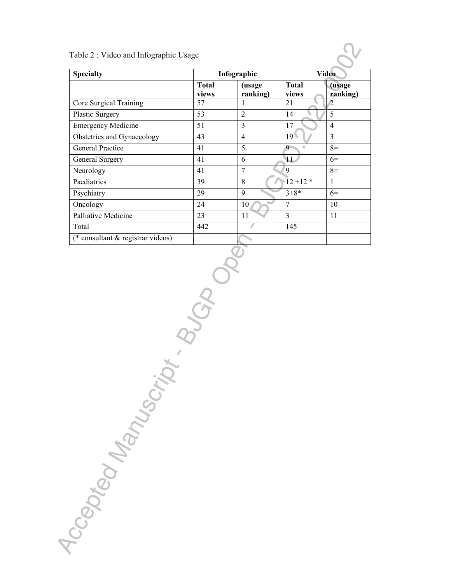#### **Specialty Infographic Video Total views (usage ranking) Total views (usage ranking)** Core Surgical Training 57 1 21 2 Plastic Surgery 53 2 14 5 Emergency Medicine 51 3 17 4 Obstetrics and Gynaecology 43 4 19 3 General Practice  $\begin{array}{|c|c|c|c|c|c|} \hline 41 & 5 & 9 & 8=1 \end{array}$ General Surgery 41 6 11 6 11 6 Neurology  $\begin{array}{|c|c|c|c|c|}\n\hline\n41 & 7 & 9 & 8= \end{array}$ Paediatrics  $39 \t 3$  8  $12 + 12 * 1$ Psychiatry 29 9  $3+8*$  6= Oncology 24 10 7 10 Palliative Medicine  $\begin{array}{|c|c|c|c|c|c|c|c|c|} \hline \end{array}$  23 11 3 11 Total  $\begin{array}{|c|c|c|c|c|c|c|c|} \hline \end{array}$  145 (\* consultant & registrar videos)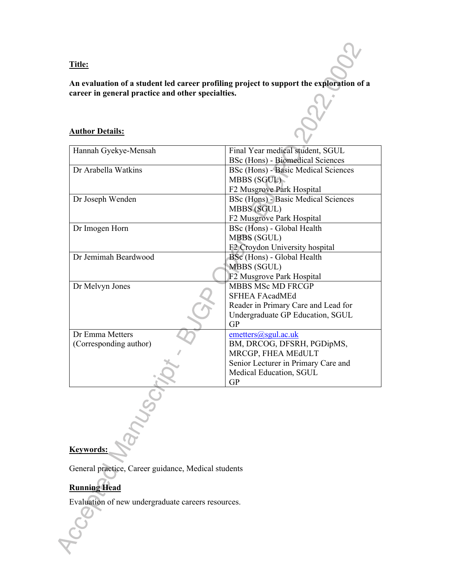**Title:** 

**An evaluation of a student led career profiling project to support the exploration of a career in general practice and other specialties.**

## **Author Details:**

| Final Year medical student, SGUL           |  |  |  |
|--------------------------------------------|--|--|--|
| BSc (Hons) - Biomedical Sciences           |  |  |  |
| BSc (Hons) - Basic Medical Sciences        |  |  |  |
| MBBS (SGUL)                                |  |  |  |
| F2 Musgrove Park Hospital                  |  |  |  |
| <b>BSc (Hons) - Basic Medical Sciences</b> |  |  |  |
| MBBS (SGUL)                                |  |  |  |
| F2 Musgrove Park Hospital                  |  |  |  |
| BSc (Hons) - Global Health                 |  |  |  |
| MBBS (SGUL)                                |  |  |  |
| F2 Croydon University hospital             |  |  |  |
| BSc (Hons) - Global Health                 |  |  |  |
| MBBS (SGUL)                                |  |  |  |
| F2 Musgrove Park Hospital                  |  |  |  |
| <b>MBBS MSc MD FRCGP</b>                   |  |  |  |
| <b>SFHEA FAcadMEd</b>                      |  |  |  |
| Reader in Primary Care and Lead for        |  |  |  |
| Undergraduate GP Education, SGUL           |  |  |  |
| GP                                         |  |  |  |
| emeters@sgul.ac.uk                         |  |  |  |
| BM, DRCOG, DFSRH, PGDipMS,                 |  |  |  |
| MRCGP, FHEA MEdULT                         |  |  |  |
| Senior Lecturer in Primary Care and        |  |  |  |
| Medical Education, SGUL                    |  |  |  |
| <b>GP</b>                                  |  |  |  |
|                                            |  |  |  |
|                                            |  |  |  |
|                                            |  |  |  |
|                                            |  |  |  |
|                                            |  |  |  |
|                                            |  |  |  |
|                                            |  |  |  |

## **Keywords:**

General practice, Career guidance, Medical students

## **Running Head**

Evaluation of new undergraduate careers resources.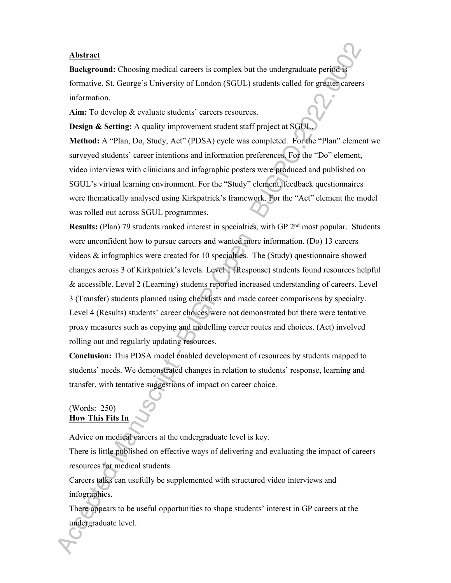#### **Abstract**

**Background:** Choosing medical careers is complex but the undergraduate period is formative. St. George's University of London (SGUL) students called for greater careers information.

Aim: To develop & evaluate students' careers resources.

**Design & Setting:** A quality improvement student staff project at SGUL. **Method:** A "Plan, Do, Study, Act" (PDSA) cycle was completed. For the "Plan" element we surveyed students' career intentions and information preferences. For the "Do" element, video interviews with clinicians and infographic posters were produced and published on SGUL's virtual learning environment. For the "Study" element, feedback questionnaires were thematically analysed using Kirkpatrick's framework. For the "Act" element the model was rolled out across SGUL programmes.

**Results:** (Plan) 79 students ranked interest in specialties, with GP 2<sup>nd</sup> most popular. Students were unconfident how to pursue careers and wanted more information. (Do) 13 careers videos & infographics were created for 10 specialties. The (Study) questionnaire showed changes across 3 of Kirkpatrick's levels. Level 1 (Response) students found resources helpful & accessible. Level 2 (Learning) students reported increased understanding of careers. Level 3 (Transfer) students planned using checklists and made career comparisons by specialty. Level 4 (Results) students' career choices were not demonstrated but there were tentative proxy measures such as copying and modelling career routes and choices. (Act) involved rolling out and regularly updating resources.

**Conclusion:** This PDSA model enabled development of resources by students mapped to students' needs. We demonstrated changes in relation to students' response, learning and transfer, with tentative suggestions of impact on career choice.

## (Words: 250) **How This Fits In**

Advice on medical careers at the undergraduate level is key.

There is little published on effective ways of delivering and evaluating the impact of careers resources for medical students.

Careers talks can usefully be supplemented with structured video interviews and infographics.

There appears to be useful opportunities to shape students' interest in GP careers at the undergraduate level.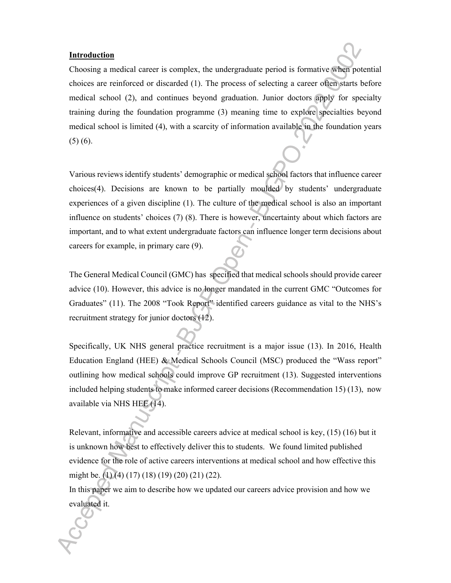#### **Introduction**

Choosing a medical career is complex, the undergraduate period is formative when potential choices are reinforced or discarded (1). The process of selecting a career often starts before medical school (2), and continues beyond graduation. Junior doctors apply for specialty training during the foundation programme (3) meaning time to explore specialties beyond medical school is limited (4), with a scarcity of information available in the foundation years  $(5)$  (6).

Various reviews identify students' demographic or medical school factors that influence career choices(4). Decisions are known to be partially moulded by students' undergraduate experiences of a given discipline (1). The culture of the medical school is also an important influence on students' choices (7) (8). There is however, uncertainty about which factors are important, and to what extent undergraduate factors can influence longer term decisions about careers for example, in primary care (9).

The General Medical Council (GMC) has specified that medical schools should provide career advice (10). However, this advice is no longer mandated in the current GMC "Outcomes for Graduates" (11). The 2008 "Took Report" identified careers guidance as vital to the NHS's recruitment strategy for junior doctors (12).

Specifically, UK NHS general practice recruitment is a major issue (13). In 2016, Health Education England (HEE) & Medical Schools Council (MSC) produced the "Wass report" outlining how medical schools could improve GP recruitment (13). Suggested interventions included helping students to make informed career decisions (Recommendation 15) (13), now available via NHS HEE (14).

Relevant, informative and accessible careers advice at medical school is key, (15) (16) but it is unknown how best to effectively deliver this to students. We found limited published evidence for the role of active careers interventions at medical school and how effective this might be. (1) (4) (17) (18) (19) (20) (21) (22).

In this paper we aim to describe how we updated our careers advice provision and how we evaluated it.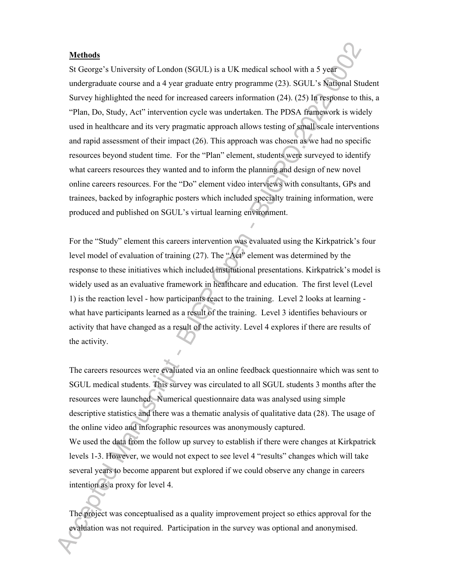#### **Methods**

St George's University of London (SGUL) is a UK medical school with a 5 year undergraduate course and a 4 year graduate entry programme (23). SGUL's National Student Survey highlighted the need for increased careers information (24). (25) In response to this, a "Plan, Do, Study, Act" intervention cycle was undertaken. The PDSA framework is widely used in healthcare and its very pragmatic approach allows testing of small scale interventions and rapid assessment of their impact (26). This approach was chosen as we had no specific resources beyond student time. For the "Plan" element, students were surveyed to identify what careers resources they wanted and to inform the planning and design of new novel online careers resources. For the "Do" element video interviews with consultants, GPs and trainees, backed by infographic posters which included specialty training information, were produced and published on SGUL's virtual learning environment.

For the "Study" element this careers intervention was evaluated using the Kirkpatrick's four level model of evaluation of training (27). The "Act" element was determined by the response to these initiatives which included institutional presentations. Kirkpatrick's model is widely used as an evaluative framework in healthcare and education. The first level (Level 1) is the reaction level - how participants react to the training. Level 2 looks at learning what have participants learned as a result of the training. Level 3 identifies behaviours or activity that have changed as a result of the activity. Level 4 explores if there are results of the activity.

The careers resources were evaluated via an online feedback questionnaire which was sent to SGUL medical students. This survey was circulated to all SGUL students 3 months after the resources were launched. Numerical questionnaire data was analysed using simple descriptive statistics and there was a thematic analysis of qualitative data (28). The usage of the online video and infographic resources was anonymously captured. We used the data from the follow up survey to establish if there were changes at Kirkpatrick levels 1-3. However, we would not expect to see level 4 "results" changes which will take several years to become apparent but explored if we could observe any change in careers intention as a proxy for level 4.

The project was conceptualised as a quality improvement project so ethics approval for the evaluation was not required. Participation in the survey was optional and anonymised.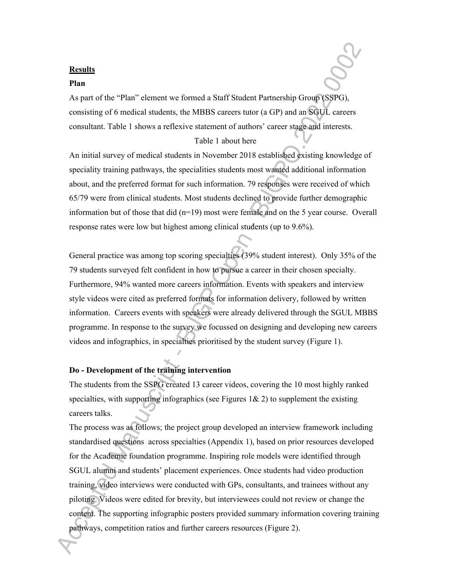#### **Results**

#### **Plan**

As part of the "Plan" element we formed a Staff Student Partnership Group (SSPG), consisting of 6 medical students, the MBBS careers tutor (a GP) and an SGUL careers consultant. Table 1 shows a reflexive statement of authors' career stage and interests.

#### Table 1 about here

An initial survey of medical students in November 2018 established existing knowledge of speciality training pathways, the specialities students most wanted additional information about, and the preferred format for such information. 79 responses were received of which 65/79 were from clinical students. Most students declined to provide further demographic information but of those that did (n=19) most were female and on the 5 year course. Overall response rates were low but highest among clinical students (up to 9.6%).

General practice was among top scoring specialties (39% student interest). Only 35% of the 79 students surveyed felt confident in how to pursue a career in their chosen specialty. Furthermore, 94% wanted more careers information. Events with speakers and interview style videos were cited as preferred formats for information delivery, followed by written information. Careers events with speakers were already delivered through the SGUL MBBS programme. In response to the survey we focussed on designing and developing new careers videos and infographics, in specialties prioritised by the student survey (Figure 1).

## **Do - Development of the training intervention**

The students from the SSPG created 13 career videos, covering the 10 most highly ranked specialties, with supporting infographics (see Figures  $1\& 2$ ) to supplement the existing careers talks.

The process was as follows; the project group developed an interview framework including standardised questions across specialties (Appendix 1), based on prior resources developed for the Academic foundation programme. Inspiring role models were identified through SGUL alumni and students' placement experiences. Once students had video production training, video interviews were conducted with GPs, consultants, and trainees without any piloting. Videos were edited for brevity, but interviewees could not review or change the content. The supporting infographic posters provided summary information covering training pathways, competition ratios and further careers resources (Figure 2).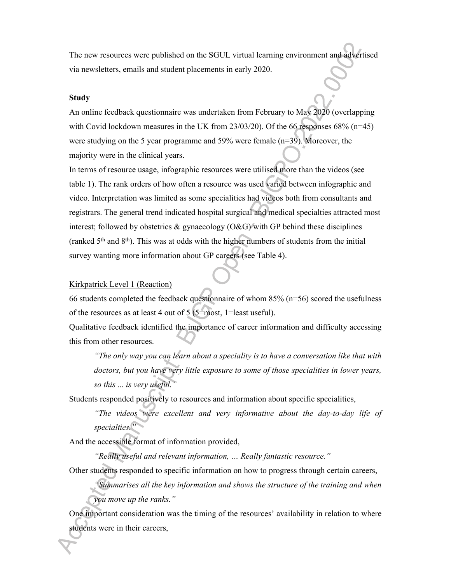The new resources were published on the SGUL virtual learning environment and advertised via newsletters, emails and student placements in early 2020.

#### **Study**

An online feedback questionnaire was undertaken from February to May 2020 (overlapping with Covid lockdown measures in the UK from  $23/03/20$ ). Of the 66 responses 68% (n=45) were studying on the 5 year programme and 59% were female (n=39). Moreover, the majority were in the clinical years.

In terms of resource usage, infographic resources were utilised more than the videos (see table 1). The rank orders of how often a resource was used varied between infographic and video. Interpretation was limited as some specialities had videos both from consultants and registrars. The general trend indicated hospital surgical and medical specialties attracted most interest; followed by obstetrics  $\&$  gynaecology (O $\&$ G) with GP behind these disciplines (ranked  $5<sup>th</sup>$  and  $8<sup>th</sup>$ ). This was at odds with the higher numbers of students from the initial survey wanting more information about GP careers (see Table 4).

#### Kirkpatrick Level 1 (Reaction)

66 students completed the feedback questionnaire of whom 85% (n=56) scored the usefulness of the resources as at least 4 out of 5 (5=most, 1=least useful).

Qualitative feedback identified the importance of career information and difficulty accessing this from other resources.

*"The only way you can learn about a speciality is to have a conversation like that with doctors, but you have very little exposure to some of those specialities in lower years, so this ... is very useful."*

Students responded positively to resources and information about specific specialities,

*"The videos were excellent and very informative about the day-to-day life of specialties."*

And the accessible format of information provided,

*"Really useful and relevant information, … Really fantastic resource."* 

Other students responded to specific information on how to progress through certain careers,

*"Summarises all the key information and shows the structure of the training and when you move up the ranks."*

One important consideration was the timing of the resources' availability in relation to where students were in their careers,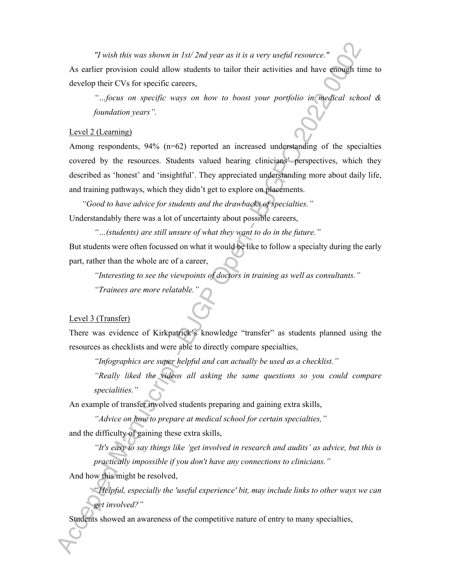*"I wish this was shown in 1st/ 2nd year as it is a very useful resource."* As earlier provision could allow students to tailor their activities and have enough time to develop their CVs for specific careers,

*"…focus on specific ways on how to boost your portfolio in medical school & foundation years".*

#### Level 2 (Learning)

Among respondents,  $94\%$  ( $n=62$ ) reported an increased understanding of the specialties covered by the resources. Students valued hearing clinicians' perspectives, which they described as 'honest' and 'insightful'. They appreciated understanding more about daily life, and training pathways, which they didn't get to explore on placements.

*"Good to have advice for students and the drawbacks of specialties."* Understandably there was a lot of uncertainty about possible careers,

*"…(students) are still unsure of what they want to do in the future."* But students were often focussed on what it would be like to follow a specialty during the early part, rather than the whole arc of a career,

*"Interesting to see the viewpoints of doctors in training as well as consultants."*

*"Trainees are more relatable."*

#### Level 3 (Transfer)

There was evidence of Kirkpatrick's knowledge "transfer" as students planned using the resources as checklists and were able to directly compare specialties,

*"Infographics are super helpful and can actually be used as a checklist."*

*"Really liked the videos all asking the same questions so you could compare specialities."*

An example of transfer involved students preparing and gaining extra skills,

*"Advice on how to prepare at medical school for certain specialties,"* and the difficulty of gaining these extra skills,

*"It's easy to say things like 'get involved in research and audits' as advice, but this is practically impossible if you don't have any connections to clinicians."*

And how this might be resolved,

*"Helpful, especially the 'useful experience' bit, may include links to other ways we can get involved?"*

Students showed an awareness of the competitive nature of entry to many specialties,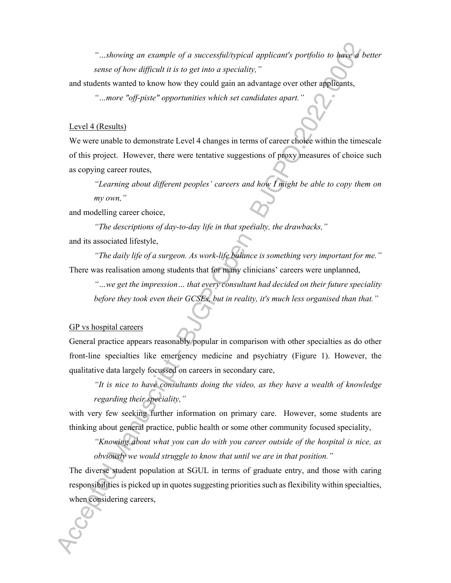*"…showing an example of a successful/typical applicant's portfolio to have a better sense of how difficult it is to get into a speciality,"*

and students wanted to know how they could gain an advantage over other applicants,

*"…more "off-piste" opportunities which set candidates apart."*

#### Level 4 (Results)

We were unable to demonstrate Level 4 changes in terms of career choice within the timescale of this project. However, there were tentative suggestions of proxy measures of choice such as copying career routes,

*"Learning about different peoples' careers and how I might be able to copy them on my own,"*

and modelling career choice,

*"The descriptions of day-to-day life in that specialty, the drawbacks,"* and its associated lifestyle,

*"The daily life of a surgeon. As work-life balance is something very important for me."* There was realisation among students that for many clinicians' careers were unplanned,

*"…we get the impression… that every consultant had decided on their future speciality before they took even their GCSEs, but in reality, it's much less organised than that."*

#### GP vs hospital careers

General practice appears reasonably popular in comparison with other specialties as do other front-line specialties like emergency medicine and psychiatry (Figure 1). However, the qualitative data largely focussed on careers in secondary care,

*"It is nice to have consultants doing the video, as they have a wealth of knowledge regarding their speciality,"*

with very few seeking further information on primary care. However, some students are thinking about general practice, public health or some other community focused speciality,

*"Knowing about what you can do with you career outside of the hospital is nice, as obviously we would struggle to know that until we are in that position."*

The diverse student population at SGUL in terms of graduate entry, and those with caring responsibilities is picked up in quotes suggesting priorities such as flexibility within specialties, when considering careers,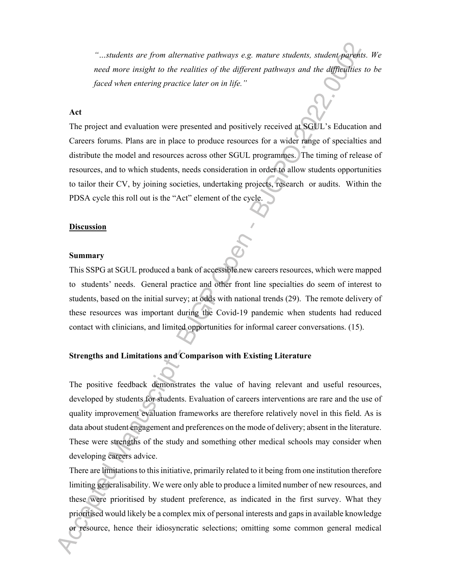*"…students are from alternative pathways e.g. mature students, student parents. We need more insight to the realities of the different pathways and the difficulties to be faced when entering practice later on in life."*

#### **Act**

The project and evaluation were presented and positively received at SGUL's Education and Careers forums. Plans are in place to produce resources for a wider range of specialties and distribute the model and resources across other SGUL programmes. The timing of release of resources, and to which students, needs consideration in order to allow students opportunities to tailor their CV, by joining societies, undertaking projects, research or audits. Within the PDSA cycle this roll out is the "Act" element of the cycle.

#### **Discussion**

#### **Summary**

This SSPG at SGUL produced a bank of accessible new careers resources, which were mapped to students' needs. General practice and other front line specialties do seem of interest to students, based on the initial survey; at odds with national trends (29). The remote delivery of these resources was important during the Covid-19 pandemic when students had reduced contact with clinicians, and limited opportunities for informal career conversations. (15).

#### **Strengths and Limitations and Comparison with Existing Literature**

The positive feedback demonstrates the value of having relevant and useful resources, developed by students for students. Evaluation of careers interventions are rare and the use of quality improvement evaluation frameworks are therefore relatively novel in this field. As is data about student engagement and preferences on the mode of delivery; absent in the literature. These were strengths of the study and something other medical schools may consider when developing careers advice.

There are limitations to this initiative, primarily related to it being from one institution therefore limiting generalisability. We were only able to produce a limited number of new resources, and these were prioritised by student preference, as indicated in the first survey. What they prioritised would likely be a complex mix of personal interests and gaps in available knowledge or resource, hence their idiosyncratic selections; omitting some common general medical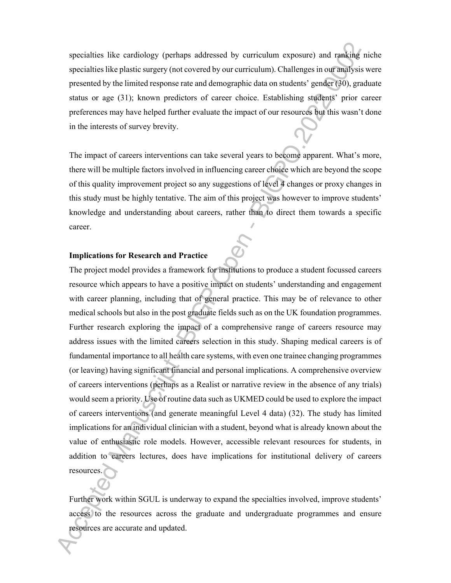specialties like cardiology (perhaps addressed by curriculum exposure) and ranking niche specialties like plastic surgery (not covered by our curriculum). Challenges in our analysis were presented by the limited response rate and demographic data on students' gender (30), graduate status or age (31); known predictors of career choice. Establishing students' prior career preferences may have helped further evaluate the impact of our resources but this wasn't done in the interests of survey brevity.

The impact of careers interventions can take several years to become apparent. What's more, there will be multiple factors involved in influencing career choice which are beyond the scope of this quality improvement project so any suggestions of level 4 changes or proxy changes in this study must be highly tentative. The aim of this project was however to improve students' knowledge and understanding about careers, rather than to direct them towards a specific career.

#### **Implications for Research and Practice**

The project model provides a framework for institutions to produce a student focussed careers resource which appears to have a positive impact on students' understanding and engagement with career planning, including that of general practice. This may be of relevance to other medical schools but also in the post graduate fields such as on the UK foundation programmes. Further research exploring the impact of a comprehensive range of careers resource may address issues with the limited careers selection in this study. Shaping medical careers is of fundamental importance to all health care systems, with even one trainee changing programmes (or leaving) having significant financial and personal implications. A comprehensive overview of careers interventions (perhaps as a Realist or narrative review in the absence of any trials) would seem a priority. Use of routine data such as UKMED could be used to explore the impact of careers interventions (and generate meaningful Level 4 data) (32). The study has limited implications for an individual clinician with a student, beyond what is already known about the value of enthusiastic role models. However, accessible relevant resources for students, in addition to careers lectures, does have implications for institutional delivery of careers resources.

Further work within SGUL is underway to expand the specialties involved, improve students' access to the resources across the graduate and undergraduate programmes and ensure resources are accurate and updated.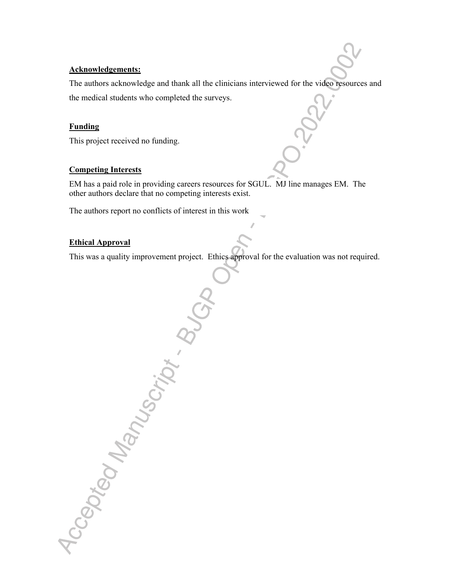### **Acknowledgements:**

The authors acknowledge and thank all the clinicians interviewed for the video resources and the medical students who completed the surveys.

### **Funding**

This project received no funding.

Accepted Manuscript BU

#### **Competing Interests**

EM has a paid role in providing careers resources for SGUL. MJ line manages EM. The other authors declare that no competing interests exist.

The authors report no conflicts of interest in this work

## **Ethical Approval**

This was a quality improvement project. Ethics approval for the evaluation was not required.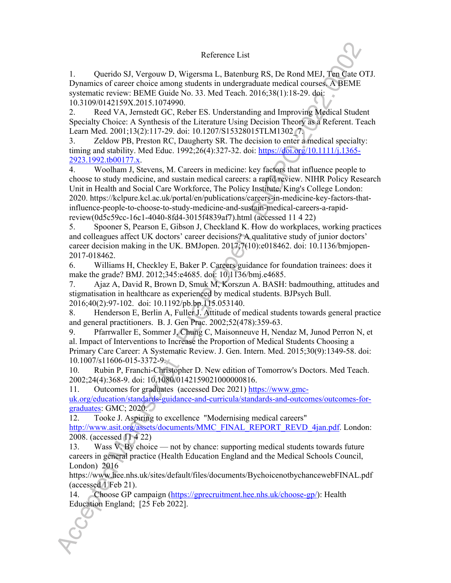#### Reference List

1. Querido SJ, Vergouw D, Wigersma L, Batenburg RS, De Rond MEJ, Ten Cate OTJ. Dynamics of career choice among students in undergraduate medical courses. A BEME systematic review: BEME Guide No. 33. Med Teach. 2016;38(1):18-29. doi: 10.3109/0142159X.2015.1074990.

2. Reed VA, Jernstedt GC, Reber ES. Understanding and Improving Medical Student Specialty Choice: A Synthesis of the Literature Using Decision Theory as a Referent. Teach Learn Med. 2001;13(2):117-29. doi: 10.1207/S15328015TLM1302<sup>7</sup>.

3. Zeldow PB, Preston RC, Daugherty SR. The decision to enter a medical specialty: timing and stability. Med Educ. 1992;26(4):327-32. doi: https://doi.org/10.1111/j.1365- 2923.1992.tb00177.x.

4. Woolham J, Stevens, M. Careers in medicine: key factors that influence people to choose to study medicine, and sustain medical careers: a rapid review. NIHR Policy Research Unit in Health and Social Care Workforce, The Policy Institute, King's College London: 2020. https://kclpure.kcl.ac.uk/portal/en/publications/careers-in-medicine-key-factors-thatinfluence-people-to-choose-to-study-medicine-and-sustain-medical-careers-a-rapidreview(0d5c59cc-16c1-4040-8fd4-3015f4839af7).html (accessed 11 4 22)

5. Spooner S, Pearson E, Gibson J, Checkland K. How do workplaces, working practices and colleagues affect UK doctors' career decisions? A qualitative study of junior doctors' career decision making in the UK. BMJopen. 2017;7(10):e018462. doi: 10.1136/bmjopen-2017-018462.

6. Williams H, Checkley E, Baker P. Careers guidance for foundation trainees: does it make the grade? BMJ. 2012;345:e4685. doi: 10.1136/bmj.e4685.

7. Ajaz A, David R, Brown D, Smuk M, Korszun A. BASH: badmouthing, attitudes and stigmatisation in healthcare as experienced by medical students. BJPsych Bull. 2016;40(2):97-102. doi: 10.1192/pb.bp.115.053140.

8. Henderson E, Berlin A, Fuller J. Attitude of medical students towards general practice and general practitioners. B. J. Gen Prac. 2002;52(478):359-63.

9. Pfarrwaller E, Sommer J, Chung C, Maisonneuve H, Nendaz M, Junod Perron N, et al. Impact of Interventions to Increase the Proportion of Medical Students Choosing a Primary Care Career: A Systematic Review. J. Gen. Intern. Med. 2015;30(9):1349-58. doi: 10.1007/s11606-015-3372-9.

10. Rubin P, Franchi-Christopher D. New edition of Tomorrow's Doctors. Med Teach. 2002;24(4):368-9. doi: 10.1080/0142159021000000816.

11. Outcomes for graduates (accessed Dec 2021) https://www.gmc-

uk.org/education/standards-guidance-and-curricula/standards-and-outcomes/outcomes-forgraduates: GMC; 2020.

12. Tooke J. Aspiring to excellence "Modernising medical careers" http://www.asit.org/assets/documents/MMC\_FINAL\_REPORT\_REVD\_4jan.pdf. London: 2008. (accessed 11 4 22)

13. Wass V. By choice — not by chance: supporting medical students towards future careers in general practice (Health Education England and the Medical Schools Council, London) 2016

https://www.hee.nhs.uk/sites/default/files/documents/BychoicenotbychancewebFINAL.pdf (accessed 1 Feb 21).

14. Choose GP campaign (https://gprecruitment.hee.nhs.uk/choose-gp/): Health Education England; [25 Feb 2022].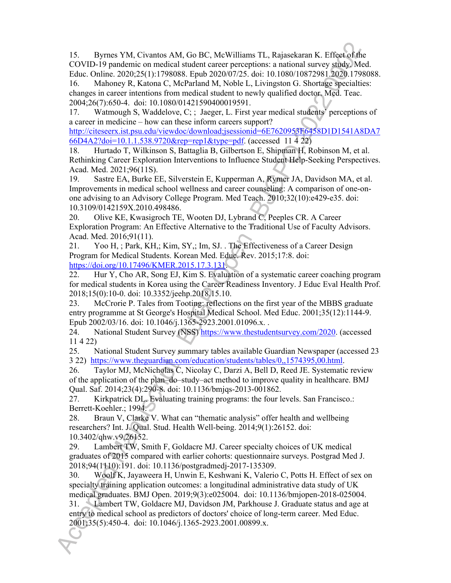15. Byrnes YM, Civantos AM, Go BC, McWilliams TL, Rajasekaran K. Effect of the COVID-19 pandemic on medical student career perceptions: a national survey study. Med. Educ. Online. 2020;25(1):1798088. Epub 2020/07/25. doi: 10.1080/10872981.2020.1798088. 16. Mahoney R, Katona C, McParland M, Noble L, Livingston G. Shortage specialties:

changes in career intentions from medical student to newly qualified doctor. Med. Teac. 2004;26(7):650-4. doi: 10.1080/01421590400019591.

17. Watmough S, Waddelove, C; ; Jaeger, L. First year medical students' perceptions of a career in medicine – how can these inform careers support?

http://citeseerx.ist.psu.edu/viewdoc/download;jsessionid=6E7620953F6458D1D1541A8DA7 66D4A2?doi=10.1.1.538.9720&rep=rep1&type=pdf. (accessed 11 4 22)

18. Hurtado T, Wilkinson S, Battaglia B, Gilbertson E, Shipman H, Robinson M, et al. Rethinking Career Exploration Interventions to Influence Student Help-Seeking Perspectives. Acad. Med. 2021;96(11S).

19. Sastre EA, Burke EE, Silverstein E, Kupperman A, Rymer JA, Davidson MA, et al. Improvements in medical school wellness and career counseling: A comparison of one-onone advising to an Advisory College Program. Med Teach. 2010;32(10):e429-e35. doi: 10.3109/0142159X.2010.498486.

20. Olive KE, Kwasigroch TE, Wooten DJ, Lybrand C, Peeples CR. A Career Exploration Program: An Effective Alternative to the Traditional Use of Faculty Advisors. Acad. Med. 2016;91(11).

21. Yoo H, ; Park, KH,; Kim, SY,; Im, SJ. . The Effectiveness of a Career Design Program for Medical Students. Korean Med. Educ. Rev. 2015;17:8. doi: https://doi.org/10.17496/KMER.2015.17.3.131.

22. Hur Y, Cho AR, Song EJ, Kim S. Evaluation of a systematic career coaching program for medical students in Korea using the Career Readiness Inventory. J Educ Eval Health Prof. 2018;15(0):10-0. doi: 10.3352/jeehp.2018.15.10.

23. McCrorie P. Tales from Tooting: reflections on the first year of the MBBS graduate entry programme at St George's Hospital Medical School. Med Educ. 2001;35(12):1144-9. Epub 2002/03/16. doi: 10.1046/j.1365-2923.2001.01096.x. .

24. National Student Survey (NSS) https://www.thestudentsurvey.com/2020. (accessed 11 4 22)

25. National Student Survey summary tables available Guardian Newspaper (accessed 23 3 22) https://www.theguardian.com/education/students/tables/0,,1574395,00.html.

26. Taylor MJ, McNicholas C, Nicolay C, Darzi A, Bell D, Reed JE. Systematic review of the application of the plan–do–study–act method to improve quality in healthcare. BMJ Qual. Saf. 2014;23(4):290-8. doi: 10.1136/bmjqs-2013-001862.

27. Kirkpatrick DL. Evaluating training programs: the four levels. San Francisco.: Berrett-Koehler.; 1994.

28. Braun V, Clarke V. What can "thematic analysis" offer health and wellbeing researchers? Int. J. Qual. Stud. Health Well-being. 2014;9(1):26152. doi: 10.3402/qhw.v9.26152.

29. Lambert TW, Smith F, Goldacre MJ. Career specialty choices of UK medical graduates of 2015 compared with earlier cohorts: questionnaire surveys. Postgrad Med J. 2018;94(1110):191. doi: 10.1136/postgradmedj-2017-135309.

30. Woolf K, Jayaweera H, Unwin E, Keshwani K, Valerio C, Potts H. Effect of sex on specialty training application outcomes: a longitudinal administrative data study of UK medical graduates. BMJ Open. 2019;9(3):e025004. doi: 10.1136/bmjopen-2018-025004.

31. Lambert TW, Goldacre MJ, Davidson JM, Parkhouse J. Graduate status and age at entry to medical school as predictors of doctors' choice of long-term career. Med Educ. 2001;35(5):450-4. doi: 10.1046/j.1365-2923.2001.00899.x.